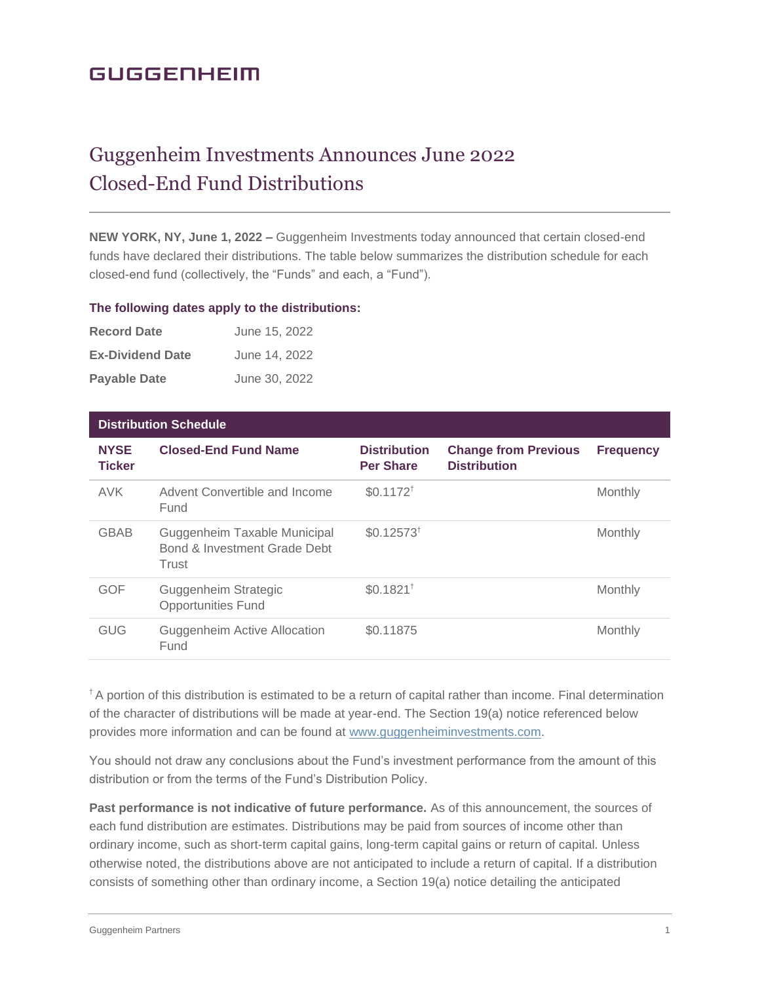# **GUGGENHEIM**

# Guggenheim Investments Announces June 2022 Closed-End Fund Distributions

**NEW YORK, NY, June 1, 2022 –** Guggenheim Investments today announced that certain closed-end funds have declared their distributions. The table below summarizes the distribution schedule for each closed-end fund (collectively, the "Funds" and each, a "Fund").

#### **The following dates apply to the distributions:**

| <b>Record Date</b>      | June 15, 2022 |
|-------------------------|---------------|
| <b>Ex-Dividend Date</b> | June 14, 2022 |
| <b>Payable Date</b>     | June 30, 2022 |

| <b>Distribution Schedule</b> |                                                                       |                                         |                                                    |                  |
|------------------------------|-----------------------------------------------------------------------|-----------------------------------------|----------------------------------------------------|------------------|
| <b>NYSE</b><br><b>Ticker</b> | <b>Closed-End Fund Name</b>                                           | <b>Distribution</b><br><b>Per Share</b> | <b>Change from Previous</b><br><b>Distribution</b> | <b>Frequency</b> |
| <b>AVK</b>                   | Advent Convertible and Income<br>Fund                                 | $$0.1172^{\dagger}$                     |                                                    | Monthly          |
| <b>GBAB</b>                  | Guggenheim Taxable Municipal<br>Bond & Investment Grade Debt<br>Trust | $$0.12573^{\dagger}$                    |                                                    | Monthly          |
| <b>GOF</b>                   | Guggenheim Strategic<br><b>Opportunities Fund</b>                     | $$0.1821$ <sup>†</sup>                  |                                                    | Monthly          |
| GUG                          | Guggenheim Active Allocation<br>Fund                                  | \$0.11875                               |                                                    | Monthly          |

<sup>†</sup> A portion of this distribution is estimated to be a return of capital rather than income. Final determination of the character of distributions will be made at year-end. The Section 19(a) notice referenced below provides more information and can be found at [www.guggenheiminvestments.com.](http://www.guggenheiminvestments.com/)

You should not draw any conclusions about the Fund's investment performance from the amount of this distribution or from the terms of the Fund's Distribution Policy.

**Past performance is not indicative of future performance.** As of this announcement, the sources of each fund distribution are estimates. Distributions may be paid from sources of income other than ordinary income, such as short-term capital gains, long-term capital gains or return of capital. Unless otherwise noted, the distributions above are not anticipated to include a return of capital. If a distribution consists of something other than ordinary income, a Section 19(a) notice detailing the anticipated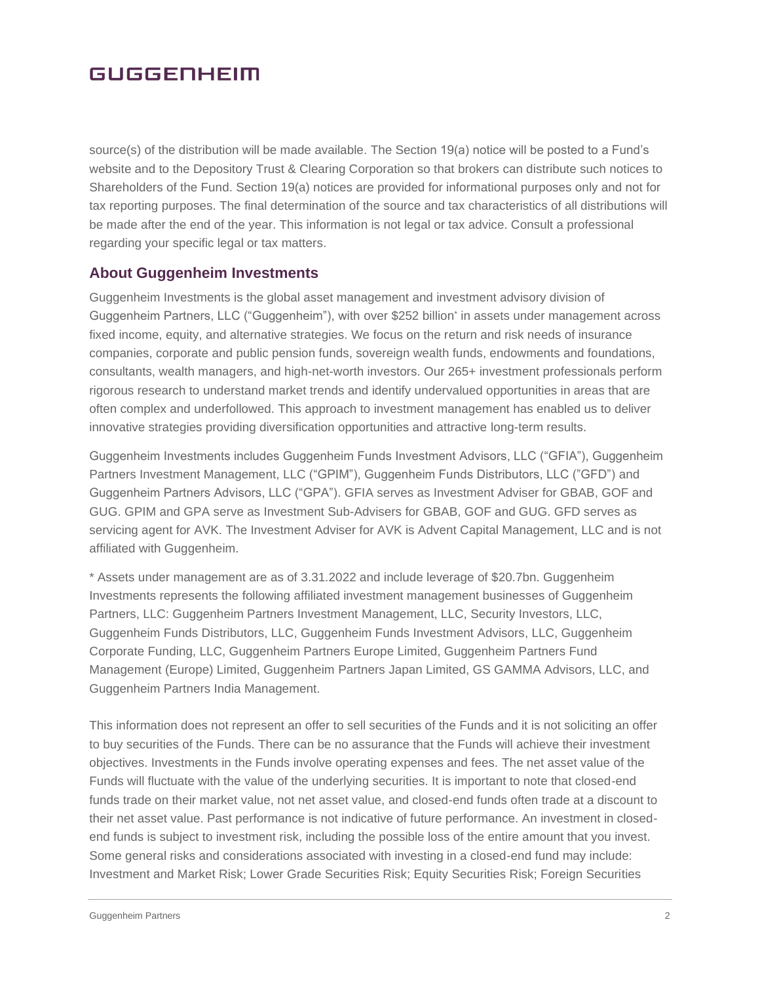### **GUGGENHEIM**

source(s) of the distribution will be made available. The Section 19(a) notice will be posted to a Fund's website and to the Depository Trust & Clearing Corporation so that brokers can distribute such notices to Shareholders of the Fund. Section 19(a) notices are provided for informational purposes only and not for tax reporting purposes. The final determination of the source and tax characteristics of all distributions will be made after the end of the year. This information is not legal or tax advice. Consult a professional regarding your specific legal or tax matters.

### **About Guggenheim Investments**

Guggenheim Investments is the global asset management and investment advisory division of Guggenheim Partners, LLC ("Guggenheim"), with over \$252 billion\* in assets under management across fixed income, equity, and alternative strategies. We focus on the return and risk needs of insurance companies, corporate and public pension funds, sovereign wealth funds, endowments and foundations, consultants, wealth managers, and high-net-worth investors. Our 265+ investment professionals perform rigorous research to understand market trends and identify undervalued opportunities in areas that are often complex and underfollowed. This approach to investment management has enabled us to deliver innovative strategies providing diversification opportunities and attractive long-term results.

Guggenheim Investments includes Guggenheim Funds Investment Advisors, LLC ("GFIA"), Guggenheim Partners Investment Management, LLC ("GPIM"), Guggenheim Funds Distributors, LLC ("GFD") and Guggenheim Partners Advisors, LLC ("GPA"). GFIA serves as Investment Adviser for GBAB, GOF and GUG. GPIM and GPA serve as Investment Sub-Advisers for GBAB, GOF and GUG. GFD serves as servicing agent for AVK. The Investment Adviser for AVK is Advent Capital Management, LLC and is not affiliated with Guggenheim.

\* Assets under management are as of 3.31.2022 and include leverage of \$20.7bn. Guggenheim Investments represents the following affiliated investment management businesses of Guggenheim Partners, LLC: Guggenheim Partners Investment Management, LLC, Security Investors, LLC, Guggenheim Funds Distributors, LLC, Guggenheim Funds Investment Advisors, LLC, Guggenheim Corporate Funding, LLC, Guggenheim Partners Europe Limited, Guggenheim Partners Fund Management (Europe) Limited, Guggenheim Partners Japan Limited, GS GAMMA Advisors, LLC, and Guggenheim Partners India Management.

This information does not represent an offer to sell securities of the Funds and it is not soliciting an offer to buy securities of the Funds. There can be no assurance that the Funds will achieve their investment objectives. Investments in the Funds involve operating expenses and fees. The net asset value of the Funds will fluctuate with the value of the underlying securities. It is important to note that closed-end funds trade on their market value, not net asset value, and closed-end funds often trade at a discount to their net asset value. Past performance is not indicative of future performance. An investment in closedend funds is subject to investment risk, including the possible loss of the entire amount that you invest. Some general risks and considerations associated with investing in a closed-end fund may include: Investment and Market Risk; Lower Grade Securities Risk; Equity Securities Risk; Foreign Securities